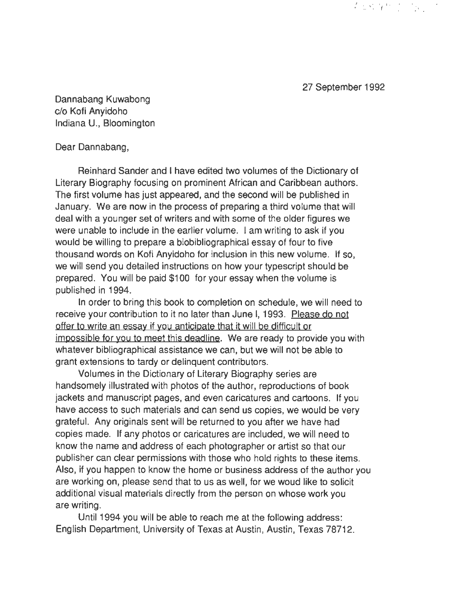27 September 1992

有些经济的。

Dannabang Kuwabong c/o Kofi Anyidoho Indiana U., Bloomington

## Dear Dannabang,

Reinhard Sander and I have edited two volumes of the Dictionary of Literary Biography focusing on prominent African and Caribbean authors. The first volume has just appeared, and the second will be published in January. We are now in the process of preparing a third volume that will deal with a younger set of writers and with some of the older figures we were unable to include in the earlier volume. I am writing to ask if you would be willing to prepare a biobibliographical essay of four to five thousand words on Kofi Anyidoho for inclusion in this new volume. If so, we will send you detailed instructions on how your typescript should be prepared. You will be paid \$100 for your essay when the volume is published in 1994.

In order to bring this book to completion on schedule, we will need to receive your contribution to it no later than June I, 1993. Please do not offer to write an essay if you anticipate that it will be difficult or impossible for you to meet this deadline. We are ready to provide you with whatever bibliographical assistance we can, but we will not be able to grant extensions to tardy or delinquent contributors.

Volumes in the Dictionary of Literary Biography series are handsomely illustrated with photos of the author, reproductions of book jackets and manuscript pages, and even caricatures and cartoons. If you have access to such materials and can send us copies, we would be very grateful. Any originals sent will be returned to you after we have had copies made. If any photos or caricatures are included, we will need to know the name and address of each photographer or artist so that our publisher can clear permissions with those who hold rights to these items. Also, if you happen to know the home or business address of the author you are working on, please send that to us as well, for we woud like to solicit additional visual materials directly from the person on whose work you are writing.

Until 1994 you will be able to reach me at the following address: English Department, University of Texas at Austin, Austin, Texas 78712.